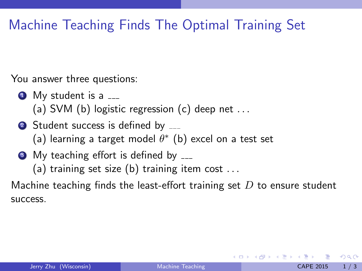## Machine Teaching Finds The Optimal Training Set

You answer three questions:

- $\bullet$  My student is a  $\text{---}$ 
	- (a) SVM (b) logistic regression  $(c)$  deep net ...
- 2 Student success is defined by \_\_\_ (a) learning a target model  $\theta^*$  (b) excel on a test set
- $\bullet$  My teaching effort is defined by  $\overline{\phantom{a}}$ 
	- (a) training set size (b) training item cost  $\dots$

Machine teaching finds the least-effort training set  $D$  to ensure student success.

<span id="page-0-0"></span> $200$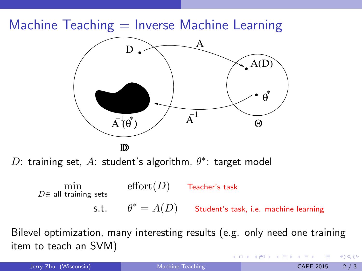## Machine Teaching  $=$  Inverse Machine Learning  $A(D)$ θ ∗  $\overline{A}^1 \theta^*$ A  ${\bar{\mathbf A}^1}$ D Θ

DD

 $D$ : training set,  $A$ : student's algorithm,  $\theta^*$ : target model

$$
\begin{array}{ll}\n\text{min} & \text{effort}(D) \\
\text{Teacher's task} \\
\text{s.t.} & \theta^* = A(D) \\
\text{Student's task, i.e. machine learning}\n\end{array}
$$

Bilevel optimization, many interesting results (e.g. only need one training item to teach an SVM)

4 D F

 $\Omega$